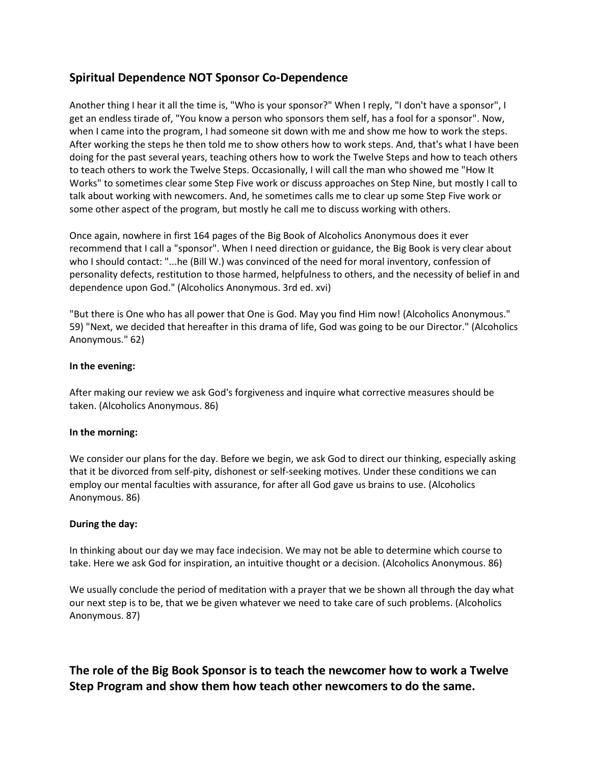## **Spiritual Dependence NOT Sponsor Co-Dependence**

Another thing I hear it all the time is, "Who is your sponsor?" When I reply, "I don't have a sponsor", I get an endless tirade of, "You know a person who sponsors them self, has a fool for a sponsor". Now, when I came into the program, I had someone sit down with me and show me how to work the steps. After working the steps he then told me to show others how to work steps. And, that's what I have been doing for the past several years, teaching others how to work the Twelve Steps and how to teach others to teach others to work the Twelve Steps. Occasionally, I will call the man who showed me "How It Works" to sometimes clear some Step Five work or discuss approaches on Step Nine, but mostly I call to talk about working with newcomers. And, he sometimes calls me to clear up some Step Five work or some other aspect of the program, but mostly he call me to discuss working with others.

Once again, nowhere in first 164 pages of the Big Book of Alcoholics Anonymous does it ever recommend that I call a "sponsor". When I need direction or guidance, the Big Book is very clear about who I should contact: "...he (Bill W.) was convinced of the need for moral inventory, confession of personality defects, restitution to those harmed, helpfulness to others, and the necessity of belief in and dependence upon God." (Alcoholics Anonymous. 3rd ed. xvi)

"But there is One who has all power that One is God. May you find Him now! (Alcoholics Anonymous." 59) "Next, we decided that hereafter in this drama of life, God was going to be our Director." (Alcoholics Anonymous." 62)

## **In the evening:**

After making our review we ask God's forgiveness and inquire what corrective measures should be taken. (Alcoholics Anonymous. 86)

#### **In the morning:**

We consider our plans for the day. Before we begin, we ask God to direct our thinking, especially asking that it be divorced from self-pity, dishonest or self-seeking motives. Under these conditions we can employ our mental faculties with assurance, for after all God gave us brains to use. (Alcoholics Anonymous. 86)

## **During the day:**

In thinking about our day we may face indecision. We may not be able to determine which course to take. Here we ask God for inspiration, an intuitive thought or a decision. (Alcoholics Anonymous. 86)

We usually conclude the period of meditation with a prayer that we be shown all through the day what our next step is to be, that we be given whatever we need to take care of such problems. (Alcoholics Anonymous. 87)

# **The role of the Big Book Sponsor is to teach the newcomer how to work a Twelve Step Program and show them how teach other newcomers to do the same.**